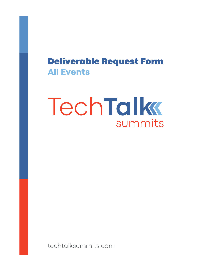## Deliverable Request Form **All Events**

# TechTalk summits

techtalksummits.com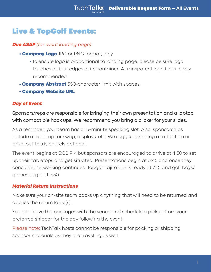## Live & TopGolf Events:

#### *Due ASAP (for event landing page)*

- **Company Logo** JPG or PNG format, only
	- To ensure logo is proportional to landing page, please be sure logo touches all four edges of its container. A transparent logo file is highly recommended.
- **Company Abstract** 350-character limit with spaces.
- Company Website URL

#### *Day of Event*

Sponsors/reps are responsible for bringing their own presentation and a laptop with compatible hook ups. We recommend you bring a clicker for your slides.

As a reminder, your team has a 15-minute speaking slot. Also, sponsorships include a tabletop for swag, displays, etc. We suggest bringing a raffle item or prize, but this is entirely optional.

The event begins at 5:00 PM but sponsors are encouraged to arrive at 4:30 to set up their tabletops and get situated. Presentations begin at 5:45 and once they conclude, networking continues. Topgolf fajita bar is ready at 7:15 and golf bays/ games begin at 7:30.

#### *Material Return Instructions*

Make sure your on-site team packs up anything that will need to be returned and applies the return label(s).

You can leave the packages with the venue and schedule a pickup from your preferred shipper for the day following the event.

Please note: TechTalk hosts cannot be responsible for packing or shipping sponsor materials as they are traveling as well.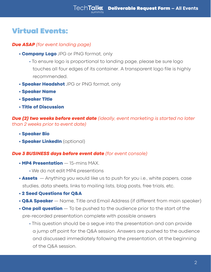### Virtual Events:

#### *Due ASAP (for event landing page)*

- **Company Logo** JPG or PNG format, only
	- To ensure logo is proportional to landing page, please be sure logo touches all four edges of its container. A transparent logo file is highly recommended.
- **Speaker Headshot** JPG or PNG format, only
- Speaker Name
- Speaker Title
- Title of Discussion

*Due (2) two weeks before event date (ideally, event marketing is started no later than 2 weeks prior to event date)* 

- Speaker Bio
- **Speaker LinkedIn** (optional)

#### *Due 3 BUSINESS days before event date (for event console)*

- MP4 Presentation 15-mins MAX.
	- We do not edit MP4 presentions
- **Assets**  $-$  Anything you would like us to push for you i.e., white papers, case studies, data sheets, links to mailing lists, blog posts, free trials, etc.
- 2 Seed Questions for Q&A
- **Q&A Speaker** Name, Title and Email Address (if different from main speaker)
- $\cdot$  One poll question  $-$  To be pushed to the audience prior to the start of the pre-recorded presentation complete with possible answers
	- This question should be a segue into the presentation and can provide a jump off point for the Q&A session. Answers are pushed to the audience and discussed immediately following the presentation, at the beginning of the Q&A session.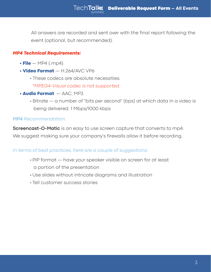All answers are recorded and sent over with the final report following the event (optional, but recommended).

#### *MP4 Technical Requirements:*

- $\cdot$  File  $-$  MP4 (.mp4)
- Video Format H.264/AVC VP6
	- These codecs are absolute necessities.

 *\*MPEG4-Visual codec is not supported.*

- Audio Format AAC, MP3
	- Bitrate a number of "bits per second" (bps) at which data in a video is being delivered. 1 Mbps/1000 kbps

#### *MP4 Recommendation:*

**Screencast-O-Matic** is an easy to use screen capture that converts to mp4.

We suggest making sure your company's firewalls allow it before recording.

#### *In terms of best practices, here are a couple of suggestions:*

- PIP format have your speaker visible on screen for at least a portion of the presentation
- Use slides without intricate diagrams and illustration
- Tell customer success stories